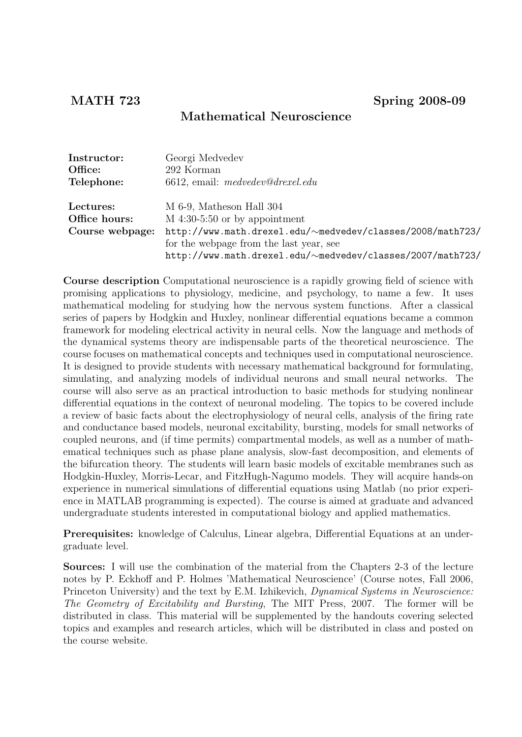# Mathematical Neuroscience

| Instructor:     | Georgi Medvedev                                            |
|-----------------|------------------------------------------------------------|
| Office:         | 292 Korman                                                 |
| Telephone:      | $6612$ , email: medvedev@drexel.edu                        |
|                 |                                                            |
| Lectures:       | M 6-9, Matheson Hall 304                                   |
| Office hours:   | $M$ 4:30-5:50 or by appointment                            |
| Course webpage: | http://www.math.drexel.edu/~medvedev/classes/2008/math723/ |
|                 | for the webpage from the last year, see                    |
|                 | http://www.math.drexel.edu/~medvedev/classes/2007/math723/ |

Course description Computational neuroscience is a rapidly growing field of science with promising applications to physiology, medicine, and psychology, to name a few. It uses mathematical modeling for studying how the nervous system functions. After a classical series of papers by Hodgkin and Huxley, nonlinear differential equations became a common framework for modeling electrical activity in neural cells. Now the language and methods of the dynamical systems theory are indispensable parts of the theoretical neuroscience. The course focuses on mathematical concepts and techniques used in computational neuroscience. It is designed to provide students with necessary mathematical background for formulating, simulating, and analyzing models of individual neurons and small neural networks. The course will also serve as an practical introduction to basic methods for studying nonlinear differential equations in the context of neuronal modeling. The topics to be covered include a review of basic facts about the electrophysiology of neural cells, analysis of the firing rate and conductance based models, neuronal excitability, bursting, models for small networks of coupled neurons, and (if time permits) compartmental models, as well as a number of mathematical techniques such as phase plane analysis, slow-fast decomposition, and elements of the bifurcation theory. The students will learn basic models of excitable membranes such as Hodgkin-Huxley, Morris-Lecar, and FitzHugh-Nagumo models. They will acquire hands-on experience in numerical simulations of differential equations using Matlab (no prior experience in MATLAB programming is expected). The course is aimed at graduate and advanced undergraduate students interested in computational biology and applied mathematics.

Prerequisites: knowledge of Calculus, Linear algebra, Differential Equations at an undergraduate level.

Sources: I will use the combination of the material from the Chapters 2-3 of the lecture notes by P. Eckhoff and P. Holmes 'Mathematical Neuroscience' (Course notes, Fall 2006, Princeton University) and the text by E.M. Izhikevich, Dynamical Systems in Neuroscience: The Geometry of Excitability and Bursting, The MIT Press, 2007. The former will be distributed in class. This material will be supplemented by the handouts covering selected topics and examples and research articles, which will be distributed in class and posted on the course website.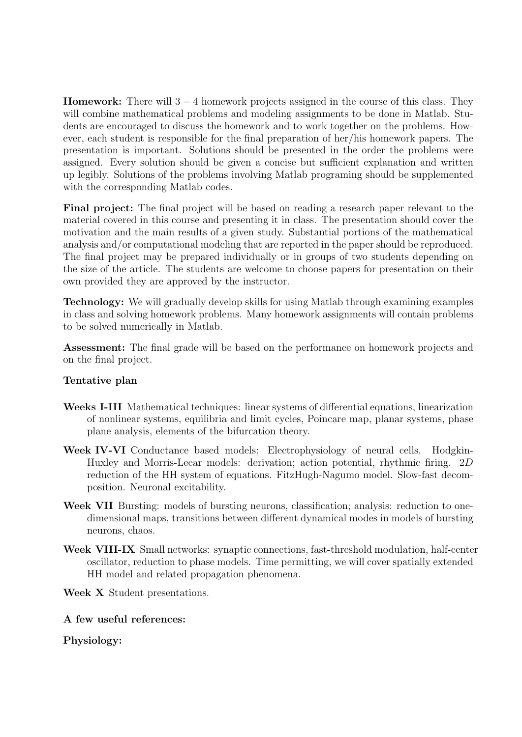**Homework:** There will  $3 - 4$  homework projects assigned in the course of this class. They will combine mathematical problems and modeling assignments to be done in Matlab. Students are encouraged to discuss the homework and to work together on the problems. However, each student is responsible for the final preparation of her/his homework papers. The presentation is important. Solutions should be presented in the order the problems were assigned. Every solution should be given a concise but sufficient explanation and written up legibly. Solutions of the problems involving Matlab programing should be supplemented with the corresponding Matlab codes.

Final project: The final project will be based on reading a research paper relevant to the material covered in this course and presenting it in class. The presentation should cover the motivation and the main results of a given study. Substantial portions of the mathematical analysis and/or computational modeling that are reported in the paper should be reproduced. The final project may be prepared individually or in groups of two students depending on the size of the article. The students are welcome to choose papers for presentation on their own provided they are approved by the instructor.

Technology: We will gradually develop skills for using Matlab through examining examples in class and solving homework problems. Many homework assignments will contain problems to be solved numerically in Matlab.

Assessment: The final grade will be based on the performance on homework projects and on the final project.

# Tentative plan

- Weeks I-III Mathematical techniques: linear systems of differential equations, linearization of nonlinear systems, equilibria and limit cycles, Poincare map, planar systems, phase plane analysis, elements of the bifurcation theory.
- Week IV-VI Conductance based models: Electrophysiology of neural cells. Hodgkin-Huxley and Morris-Lecar models: derivation; action potential, rhythmic firing. 2D reduction of the HH system of equations. FitzHugh-Nagumo model. Slow-fast decomposition. Neuronal excitability.
- Week VII Bursting: models of bursting neurons, classification; analysis: reduction to onedimensional maps, transitions between different dynamical modes in models of bursting neurons, chaos.
- Week VIII-IX Small networks: synaptic connections, fast-threshold modulation, half-center oscillator, reduction to phase models. Time permitting, we will cover spatially extended HH model and related propagation phenomena.
- Week X Student presentations.

A few useful references:

Physiology: